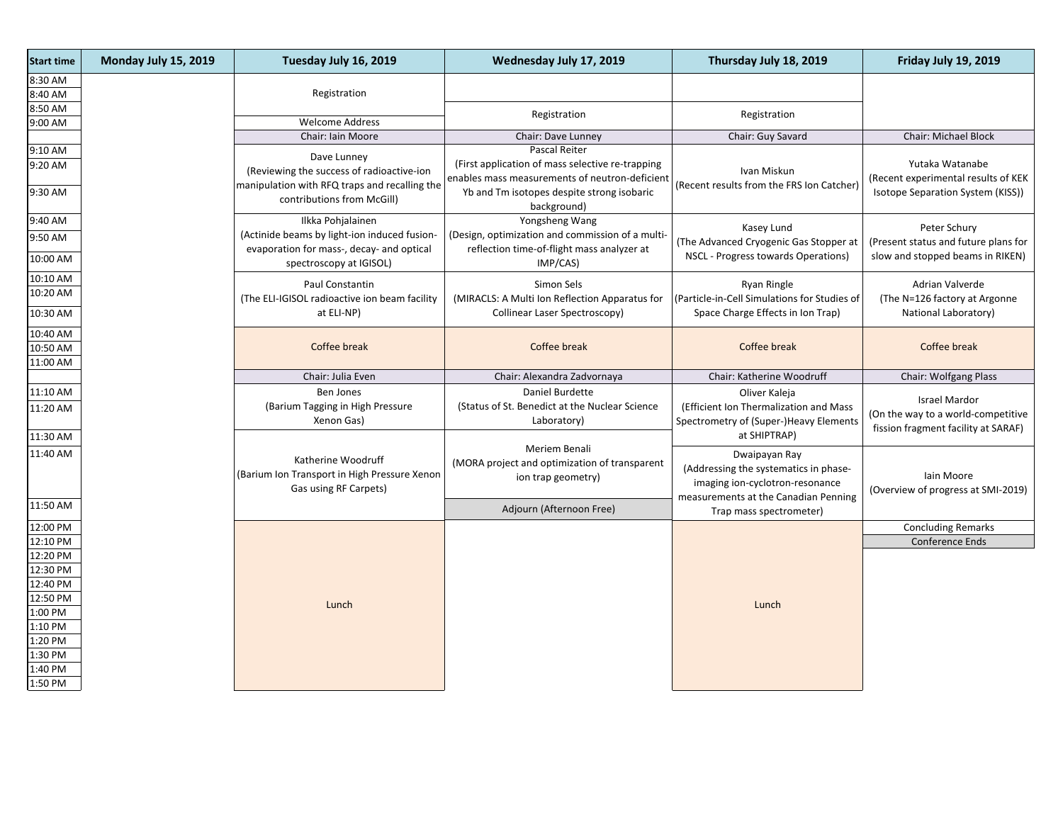| <b>Start time</b>                | Monday July 15, 2019 | Tuesday July 16, 2019                                                                                                | Wednesday July 17, 2019                                                                                              | Thursday July 18, 2019                                                                                                            | Friday July 19, 2019                                                                              |
|----------------------------------|----------------------|----------------------------------------------------------------------------------------------------------------------|----------------------------------------------------------------------------------------------------------------------|-----------------------------------------------------------------------------------------------------------------------------------|---------------------------------------------------------------------------------------------------|
| 8:30 AM                          |                      | Registration                                                                                                         |                                                                                                                      |                                                                                                                                   |                                                                                                   |
| 8:40 AM<br>8:50 AM               |                      |                                                                                                                      |                                                                                                                      |                                                                                                                                   |                                                                                                   |
| 9:00 AM                          |                      | <b>Welcome Address</b>                                                                                               | Registration                                                                                                         | Registration                                                                                                                      |                                                                                                   |
|                                  |                      | Chair: Iain Moore                                                                                                    | Chair: Dave Lunney                                                                                                   | Chair: Guy Savard                                                                                                                 | <b>Chair: Michael Block</b>                                                                       |
| 9:10 AM<br>9:20 AM               |                      | Dave Lunney<br>(Reviewing the success of radioactive-ion<br>manipulation with RFQ traps and recalling the            | Pascal Reiter<br>(First application of mass selective re-trapping)<br>enables mass measurements of neutron-deficient | Ivan Miskun<br>(Recent results from the FRS Ion Catcher)                                                                          | Yutaka Watanabe<br>(Recent experimental results of KEK                                            |
| 9:30 AM                          |                      | contributions from McGill)                                                                                           | Yb and Tm isotopes despite strong isobaric<br>background)                                                            |                                                                                                                                   | Isotope Separation System (KISS))                                                                 |
| 9:40 AM                          |                      | Ilkka Pohjalainen                                                                                                    | Yongsheng Wang                                                                                                       | Kasey Lund                                                                                                                        | Peter Schury                                                                                      |
| 9:50 AM<br>10:00 AM              |                      | (Actinide beams by light-ion induced fusion-<br>evaporation for mass-, decay- and optical<br>spectroscopy at IGISOL) | (Design, optimization and commission of a multi-<br>reflection time-of-flight mass analyzer at<br>IMP/CAS)           | (The Advanced Cryogenic Gas Stopper at<br>NSCL - Progress towards Operations)                                                     | (Present status and future plans for<br>slow and stopped beams in RIKEN)                          |
| 10:10 AM                         |                      |                                                                                                                      |                                                                                                                      |                                                                                                                                   |                                                                                                   |
| 10:20 AM                         |                      | Paul Constantin<br>(The ELI-IGISOL radioactive ion beam facility                                                     | Simon Sels<br>(MIRACLS: A Multi Ion Reflection Apparatus for                                                         | Ryan Ringle<br>(Particle-in-Cell Simulations for Studies of                                                                       | Adrian Valverde<br>(The N=126 factory at Argonne                                                  |
| 10:30 AM                         |                      | at ELI-NP)                                                                                                           | Collinear Laser Spectroscopy)                                                                                        | Space Charge Effects in Ion Trap)                                                                                                 | National Laboratory)                                                                              |
| 10:40 AM                         |                      |                                                                                                                      |                                                                                                                      |                                                                                                                                   |                                                                                                   |
| 10:50 AM                         |                      | Coffee break                                                                                                         | Coffee break                                                                                                         | Coffee break                                                                                                                      | Coffee break                                                                                      |
| 11:00 AM                         |                      |                                                                                                                      |                                                                                                                      |                                                                                                                                   |                                                                                                   |
|                                  |                      | Chair: Julia Even                                                                                                    | Chair: Alexandra Zadvornaya                                                                                          | Chair: Katherine Woodruff                                                                                                         | Chair: Wolfgang Plass                                                                             |
| 11:10 AM<br>11:20 AM             |                      | Ben Jones<br>(Barium Tagging in High Pressure<br>Xenon Gas)                                                          | Daniel Burdette<br>(Status of St. Benedict at the Nuclear Science)<br>Laboratory)                                    | Oliver Kaleja<br>(Efficient Ion Thermalization and Mass<br>Spectrometry of (Super-)Heavy Elements                                 | <b>Israel Mardor</b><br>(On the way to a world-competitive<br>fission fragment facility at SARAF) |
|                                  |                      |                                                                                                                      |                                                                                                                      |                                                                                                                                   |                                                                                                   |
| 11:30 AM                         |                      |                                                                                                                      |                                                                                                                      | at SHIPTRAP)                                                                                                                      |                                                                                                   |
| 11:40 AM                         |                      | Katherine Woodruff<br>(Barium Ion Transport in High Pressure Xenon<br>Gas using RF Carpets)                          | Meriem Benali<br>(MORA project and optimization of transparent<br>ion trap geometry)                                 | Dwaipayan Ray<br>(Addressing the systematics in phase-<br>imaging ion-cyclotron-resonance<br>measurements at the Canadian Penning | lain Moore<br>(Overview of progress at SMI-2019)                                                  |
|                                  |                      |                                                                                                                      | Adjourn (Afternoon Free)                                                                                             | Trap mass spectrometer)                                                                                                           |                                                                                                   |
|                                  |                      |                                                                                                                      |                                                                                                                      |                                                                                                                                   | <b>Concluding Remarks</b>                                                                         |
| 11:50 AM<br>12:00 PM<br>12:10 PM |                      |                                                                                                                      |                                                                                                                      |                                                                                                                                   | Conference Ends                                                                                   |
| 12:20 PM                         |                      |                                                                                                                      |                                                                                                                      |                                                                                                                                   |                                                                                                   |
| 12:30 PM                         |                      |                                                                                                                      |                                                                                                                      |                                                                                                                                   |                                                                                                   |
| 12:40 PM                         |                      |                                                                                                                      |                                                                                                                      |                                                                                                                                   |                                                                                                   |
| 12:50 PM<br>1:00 PM              |                      | Lunch                                                                                                                |                                                                                                                      | Lunch                                                                                                                             |                                                                                                   |
| 1:10 PM                          |                      |                                                                                                                      |                                                                                                                      |                                                                                                                                   |                                                                                                   |
| 1:20 PM                          |                      |                                                                                                                      |                                                                                                                      |                                                                                                                                   |                                                                                                   |
| 1:30 PM<br>1:40 PM               |                      |                                                                                                                      |                                                                                                                      |                                                                                                                                   |                                                                                                   |